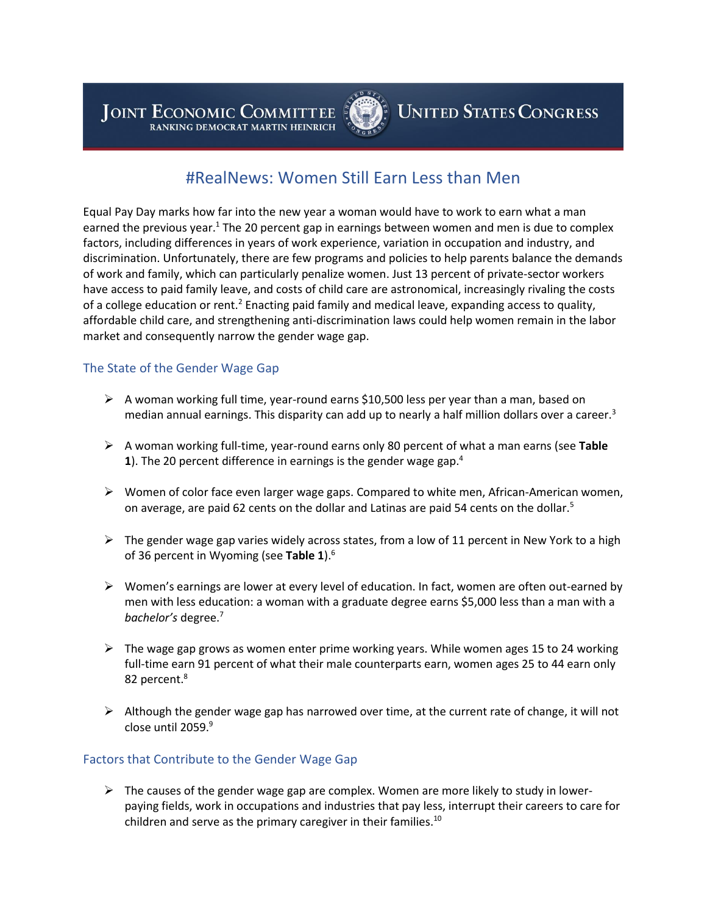JOINT ECONOMIC COMMITTEE RANKING DEMOCRAT MARTIN HEINRICH



# **UNITED STATES CONGRESS**

## #RealNews: Women Still Earn Less than Men

Equal Pay Day marks how far into the new year a woman would have to work to earn what a man earned the previous year. $1$  The 20 percent gap in earnings between women and men is due to complex factors, including differences in years of work experience, variation in occupation and industry, and discrimination. Unfortunately, there are few programs and policies to help parents balance the demands of work and family, which can particularly penalize women. Just 13 percent of private-sector workers have access to paid family leave, and costs of child care are astronomical, increasingly rivaling the costs of a college education or rent.<sup>2</sup> Enacting paid family and medical leave, expanding access to quality, affordable child care, and strengthening anti-discrimination laws could help women remain in the labor market and consequently narrow the gender wage gap.

#### The State of the Gender Wage Gap

- $\triangleright$  A woman working full time, year-round earns \$10,500 less per year than a man, based on median annual earnings. This disparity can add up to nearly a half million dollars over a career.<sup>3</sup>
- A woman working full-time, year-round earns only 80 percent of what a man earns (see **Table 1**). The 20 percent difference in earnings is the gender wage gap.<sup>4</sup>
- $\triangleright$  Women of color face even larger wage gaps. Compared to white men, African-American women, on average, are paid 62 cents on the dollar and Latinas are paid 54 cents on the dollar.<sup>5</sup>
- $\triangleright$  The gender wage gap varies widely across states, from a low of 11 percent in New York to a high of 36 percent in Wyoming (see **Table 1**).<sup>6</sup>
- $\triangleright$  Women's earnings are lower at every level of education. In fact, women are often out-earned by men with less education: a woman with a graduate degree earns \$5,000 less than a man with a *bachelor's* degree.<sup>7</sup>
- $\triangleright$  The wage gap grows as women enter prime working years. While women ages 15 to 24 working full-time earn 91 percent of what their male counterparts earn, women ages 25 to 44 earn only 82 percent.<sup>8</sup>
- $\triangleright$  Although the gender wage gap has narrowed over time, at the current rate of change, it will not close until 2059.<sup>9</sup>

#### Factors that Contribute to the Gender Wage Gap

 $\triangleright$  The causes of the gender wage gap are complex. Women are more likely to study in lowerpaying fields, work in occupations and industries that pay less, interrupt their careers to care for children and serve as the primary caregiver in their families. $10$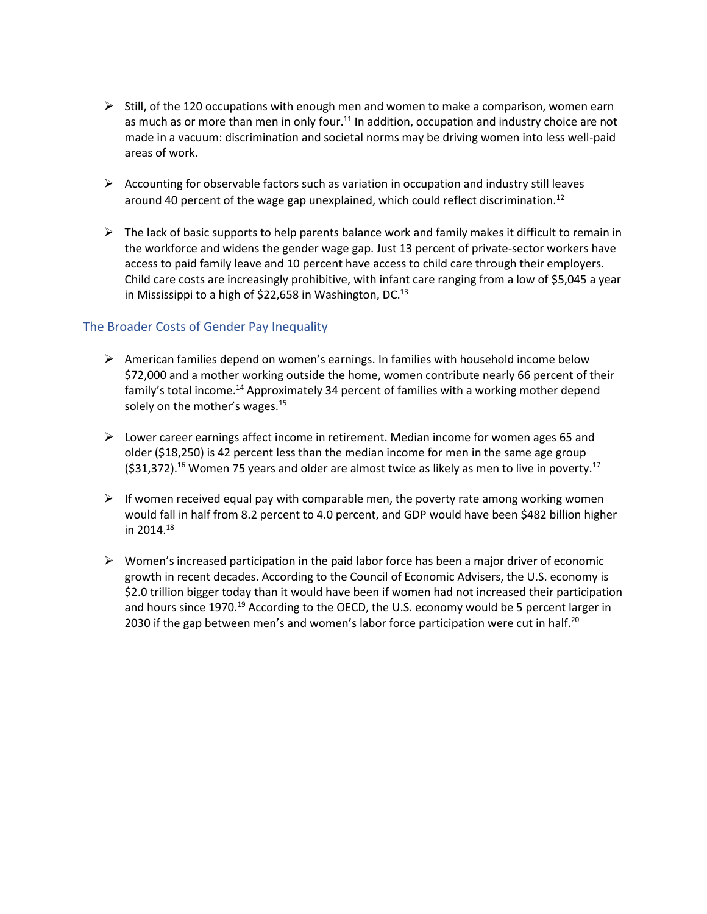- $\triangleright$  Still, of the 120 occupations with enough men and women to make a comparison, women earn as much as or more than men in only four. $11$  In addition, occupation and industry choice are not made in a vacuum: discrimination and societal norms may be driving women into less well-paid areas of work.
- $\triangleright$  Accounting for observable factors such as variation in occupation and industry still leaves around 40 percent of the wage gap unexplained, which could reflect discrimination.<sup>12</sup>
- $\triangleright$  The lack of basic supports to help parents balance work and family makes it difficult to remain in the workforce and widens the gender wage gap. Just 13 percent of private-sector workers have access to paid family leave and 10 percent have access to child care through their employers. Child care costs are increasingly prohibitive, with infant care ranging from a low of \$5,045 a year in Mississippi to a high of \$22,658 in Washington, DC.<sup>13</sup>

#### The Broader Costs of Gender Pay Inequality

- $\triangleright$  American families depend on women's earnings. In families with household income below \$72,000 and a mother working outside the home, women contribute nearly 66 percent of their family's total income.<sup>14</sup> Approximately 34 percent of families with a working mother depend solely on the mother's wages.<sup>15</sup>
- $\triangleright$  Lower career earnings affect income in retirement. Median income for women ages 65 and older (\$18,250) is 42 percent less than the median income for men in the same age group  $(531,372).$ <sup>16</sup> Women 75 years and older are almost twice as likely as men to live in poverty.<sup>17</sup>
- $\triangleright$  If women received equal pay with comparable men, the poverty rate among working women would fall in half from 8.2 percent to 4.0 percent, and GDP would have been \$482 billion higher in 2014.<sup>18</sup>
- $\triangleright$  Women's increased participation in the paid labor force has been a major driver of economic growth in recent decades. According to the Council of Economic Advisers, the U.S. economy is \$2.0 trillion bigger today than it would have been if women had not increased their participation and hours since 1970.<sup>19</sup> According to the OECD, the U.S. economy would be 5 percent larger in 2030 if the gap between men's and women's labor force participation were cut in half.<sup>20</sup>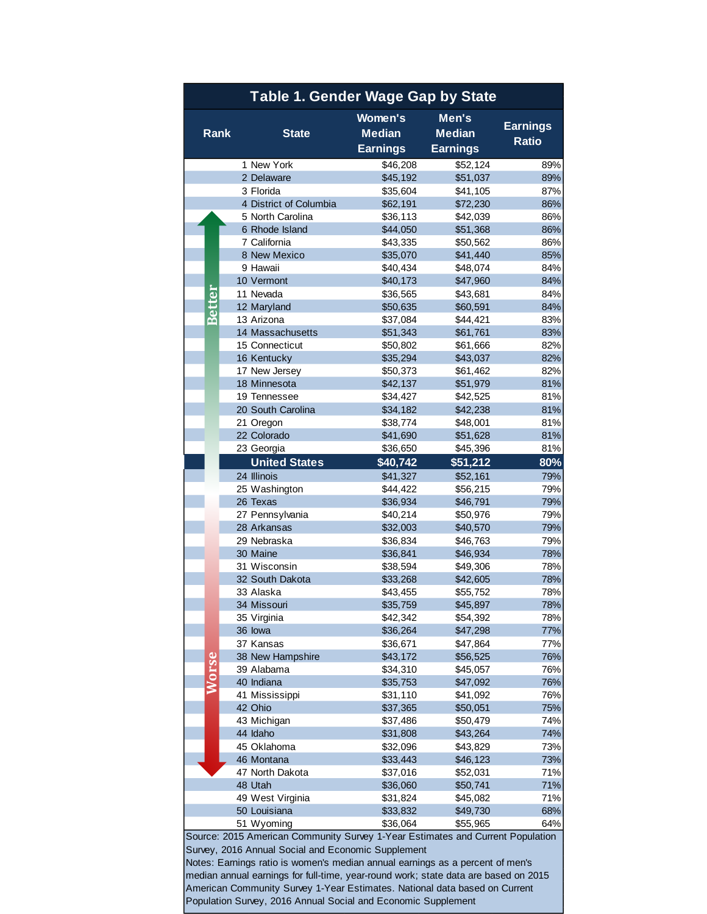| <b>Table 1. Gender Wage Gap by State</b>                                                                                             |                                                               |  |              |                                                                                     |                        |                      |              |  |  |  |
|--------------------------------------------------------------------------------------------------------------------------------------|---------------------------------------------------------------|--|--------------|-------------------------------------------------------------------------------------|------------------------|----------------------|--------------|--|--|--|
| <b>Rank</b>                                                                                                                          |                                                               |  | <b>State</b> | <b>Women's</b><br><b>Median</b>                                                     | Men's<br><b>Median</b> | <b>Earnings</b>      |              |  |  |  |
|                                                                                                                                      |                                                               |  |              |                                                                                     | <b>Earnings</b>        | <b>Earnings</b>      | <b>Ratio</b> |  |  |  |
|                                                                                                                                      |                                                               |  |              | 1 New York                                                                          | \$46,208               | \$52,124             | 89%          |  |  |  |
|                                                                                                                                      |                                                               |  |              | 2 Delaware                                                                          | \$45,192               | \$51,037             | 89%          |  |  |  |
|                                                                                                                                      |                                                               |  |              | 3 Florida                                                                           | \$35,604               | \$41,105             | 87%          |  |  |  |
|                                                                                                                                      |                                                               |  |              | 4 District of Columbia                                                              | \$62,191               | \$72,230             | 86%          |  |  |  |
|                                                                                                                                      |                                                               |  |              | 5 North Carolina                                                                    | \$36,113               | \$42,039             | 86%          |  |  |  |
|                                                                                                                                      | <b>Better</b>                                                 |  |              | 6 Rhode Island<br>7 California                                                      | \$44,050<br>\$43,335   | \$51,368<br>\$50,562 | 86%<br>86%   |  |  |  |
|                                                                                                                                      |                                                               |  |              | 8 New Mexico                                                                        | \$35,070               | \$41,440             | 85%          |  |  |  |
|                                                                                                                                      |                                                               |  |              | 9 Hawaii                                                                            | \$40,434               | \$48,074             | 84%          |  |  |  |
|                                                                                                                                      |                                                               |  |              | 10 Vermont                                                                          | \$40,173               | \$47,960             | 84%          |  |  |  |
|                                                                                                                                      |                                                               |  |              | 11 Nevada                                                                           | \$36,565               | \$43,681             | 84%          |  |  |  |
|                                                                                                                                      |                                                               |  |              | 12 Maryland                                                                         | \$50,635               | \$60,591             | 84%          |  |  |  |
|                                                                                                                                      |                                                               |  |              | 13 Arizona                                                                          | \$37,084               | \$44,421             | 83%          |  |  |  |
|                                                                                                                                      |                                                               |  |              | 14 Massachusetts                                                                    | \$51,343               | \$61,761             | 83%          |  |  |  |
|                                                                                                                                      |                                                               |  |              | 15 Connecticut<br>16 Kentucky                                                       | \$50,802<br>\$35,294   | \$61,666<br>\$43,037 | 82%<br>82%   |  |  |  |
|                                                                                                                                      |                                                               |  |              | 17 New Jersey                                                                       | \$50,373               | \$61,462             | 82%          |  |  |  |
|                                                                                                                                      |                                                               |  |              | 18 Minnesota                                                                        | \$42,137               | \$51,979             | 81%          |  |  |  |
|                                                                                                                                      |                                                               |  |              | 19 Tennessee                                                                        | \$34,427               | \$42,525             | 81%          |  |  |  |
|                                                                                                                                      |                                                               |  |              | 20 South Carolina                                                                   | \$34,182               | \$42,238             | 81%          |  |  |  |
|                                                                                                                                      |                                                               |  |              | 21 Oregon                                                                           | \$38,774               | \$48,001             | 81%          |  |  |  |
|                                                                                                                                      |                                                               |  |              | 22 Colorado                                                                         | \$41,690               | \$51,628             | 81%          |  |  |  |
|                                                                                                                                      |                                                               |  |              | 23 Georgia                                                                          | \$36,650               | \$45,396             | 81%          |  |  |  |
|                                                                                                                                      |                                                               |  |              | <b>United States</b>                                                                | \$40,742               | \$51,212             | 80%          |  |  |  |
|                                                                                                                                      |                                                               |  |              | 24 Illinois                                                                         | \$41,327               | \$52,161             | 79%          |  |  |  |
|                                                                                                                                      |                                                               |  |              | 25 Washington                                                                       | \$44,422               | \$56,215             | 79%          |  |  |  |
|                                                                                                                                      |                                                               |  |              | 26 Texas                                                                            | \$36,934               | \$46,791             | 79%          |  |  |  |
|                                                                                                                                      |                                                               |  |              | 27 Pennsylvania<br>28 Arkansas                                                      | \$40,214<br>\$32,003   | \$50,976<br>\$40,570 | 79%<br>79%   |  |  |  |
|                                                                                                                                      |                                                               |  |              | 29 Nebraska                                                                         | \$36,834               | \$46,763             | 79%          |  |  |  |
|                                                                                                                                      |                                                               |  |              | 30 Maine                                                                            | \$36,841               | \$46,934             | 78%          |  |  |  |
|                                                                                                                                      |                                                               |  |              | 31 Wisconsin                                                                        | \$38,594               | \$49,306             | 78%          |  |  |  |
|                                                                                                                                      |                                                               |  |              | 32 South Dakota                                                                     | \$33,268               | \$42,605             | 78%          |  |  |  |
|                                                                                                                                      |                                                               |  |              | 33 Alaska                                                                           | \$43,455               | \$55,752             | 78%          |  |  |  |
|                                                                                                                                      |                                                               |  |              | 34 Missouri                                                                         | \$35,759               | \$45,897             | 78%          |  |  |  |
|                                                                                                                                      |                                                               |  |              | 35 Virginia                                                                         | \$42,342               | \$54,392             | 78%          |  |  |  |
|                                                                                                                                      |                                                               |  |              | 36 lowa                                                                             | \$36,264               | \$47,298             | 77%          |  |  |  |
|                                                                                                                                      |                                                               |  |              | 37 Kansas<br>38 New Hampshire                                                       | \$36,671<br>\$43,172   | \$47,864<br>\$56,525 | 77%<br>76%   |  |  |  |
|                                                                                                                                      |                                                               |  |              | 39 Alabama                                                                          | \$34,310               | \$45,057             | 76%          |  |  |  |
|                                                                                                                                      | <b>Worse</b>                                                  |  |              | 40 Indiana                                                                          | \$35,753               | \$47,092             | 76%          |  |  |  |
|                                                                                                                                      |                                                               |  |              | 41 Mississippi                                                                      | \$31,110               | \$41,092             | 76%          |  |  |  |
|                                                                                                                                      |                                                               |  |              | 42 Ohio                                                                             | \$37,365               | \$50,051             | 75%          |  |  |  |
|                                                                                                                                      |                                                               |  |              | 43 Michigan                                                                         | \$37,486               | \$50,479             | 74%          |  |  |  |
|                                                                                                                                      |                                                               |  |              | 44 Idaho                                                                            | \$31,808               | \$43,264             | 74%          |  |  |  |
|                                                                                                                                      |                                                               |  |              | 45 Oklahoma                                                                         | \$32,096               | \$43,829             | 73%          |  |  |  |
|                                                                                                                                      |                                                               |  |              | 46 Montana                                                                          | \$33,443               | \$46,123             | 73%          |  |  |  |
|                                                                                                                                      |                                                               |  |              | 47 North Dakota                                                                     | \$37,016               | \$52,031             | 71%          |  |  |  |
|                                                                                                                                      |                                                               |  |              | 48 Utah<br>49 West Virginia                                                         | \$36,060<br>\$31,824   | \$50,741<br>\$45,082 | 71%<br>71%   |  |  |  |
|                                                                                                                                      |                                                               |  |              | 50 Louisiana                                                                        | \$33,832               | \$49,730             | 68%          |  |  |  |
|                                                                                                                                      |                                                               |  |              | 51 Wyoming                                                                          | \$36,064               | \$55,965             | 64%          |  |  |  |
|                                                                                                                                      |                                                               |  |              |                                                                                     |                        |                      |              |  |  |  |
| Source: 2015 American Community Survey 1-Year Estimates and Current Population<br>Survey, 2016 Annual Social and Economic Supplement |                                                               |  |              |                                                                                     |                        |                      |              |  |  |  |
| Notes: Earnings ratio is women's median annual earnings as a percent of men's                                                        |                                                               |  |              |                                                                                     |                        |                      |              |  |  |  |
|                                                                                                                                      |                                                               |  |              | median annual earnings for full-time, year-round work; state data are based on 2015 |                        |                      |              |  |  |  |
| American Community Survey 1-Year Estimates. National data based on Current                                                           |                                                               |  |              |                                                                                     |                        |                      |              |  |  |  |
|                                                                                                                                      | Population Survey, 2016 Annual Social and Economic Supplement |  |              |                                                                                     |                        |                      |              |  |  |  |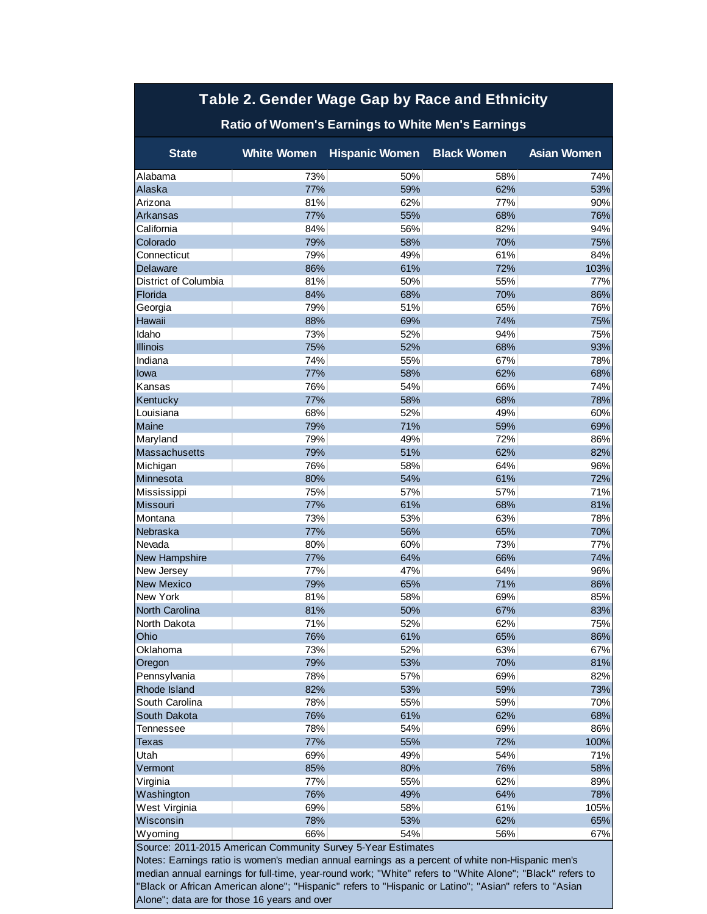### **Table 2. Gender Wage Gap by Race and Ethnicity**

### **Ratio of Women's Earnings to White Men's Earnings**

| <b>State</b>                                                 | <b>White Women</b> | <b>Hispanic Women Black Women</b> |     | <b>Asian Women</b> |  |  |  |  |
|--------------------------------------------------------------|--------------------|-----------------------------------|-----|--------------------|--|--|--|--|
| Alabama                                                      | 73%                | 50%                               | 58% | 74%                |  |  |  |  |
| Alaska                                                       | 77%                | 59%                               | 62% | 53%                |  |  |  |  |
| Arizona                                                      | 81%                | 62%                               | 77% | 90%                |  |  |  |  |
| Arkansas                                                     | 77%                | 55%                               | 68% | 76%                |  |  |  |  |
| California                                                   | 84%                | 56%                               | 82% | 94%                |  |  |  |  |
| Colorado                                                     | 79%                | 58%                               | 70% | 75%                |  |  |  |  |
| Connecticut                                                  | 79%                | 49%                               | 61% | 84%                |  |  |  |  |
| Delaware                                                     | 86%                | 61%                               | 72% | 103%               |  |  |  |  |
| District of Columbia                                         | 81%                | 50%                               | 55% | 77%                |  |  |  |  |
| Florida                                                      | 84%                | 68%                               | 70% | 86%                |  |  |  |  |
| Georgia                                                      | 79%                | 51%                               | 65% | 76%                |  |  |  |  |
| Hawaii                                                       | 88%                | 69%                               | 74% | 75%                |  |  |  |  |
| Idaho                                                        | 73%                | 52%                               | 94% | 75%                |  |  |  |  |
| <b>Illinois</b>                                              | 75%                | 52%                               | 68% | 93%                |  |  |  |  |
| Indiana                                                      | 74%                | 55%                               | 67% | 78%                |  |  |  |  |
| lowa                                                         | 77%                | 58%                               | 62% | 68%                |  |  |  |  |
| Kansas                                                       | 76%                | 54%                               | 66% | 74%                |  |  |  |  |
| Kentucky                                                     | 77%                | 58%                               | 68% | 78%                |  |  |  |  |
| Louisiana                                                    | 68%                | 52%                               | 49% | 60%                |  |  |  |  |
| Maine                                                        | 79%                | 71%                               | 59% | 69%                |  |  |  |  |
| Maryland                                                     | 79%                | 49%                               | 72% | 86%                |  |  |  |  |
| Massachusetts                                                | 79%                | 51%                               | 62% | 82%                |  |  |  |  |
| Michigan                                                     | 76%                | 58%                               | 64% | 96%                |  |  |  |  |
| Minnesota                                                    | 80%                | 54%                               | 61% | 72%                |  |  |  |  |
| Mississippi                                                  | 75%                | 57%                               | 57% | 71%                |  |  |  |  |
| Missouri                                                     | 77%                | 61%                               | 68% | 81%                |  |  |  |  |
| Montana                                                      | 73%                | 53%                               | 63% | 78%                |  |  |  |  |
| Nebraska                                                     | 77%                | 56%                               | 65% | 70%                |  |  |  |  |
| Nevada                                                       | 80%                | 60%                               | 73% | 77%                |  |  |  |  |
| New Hampshire                                                | 77%                | 64%                               | 66% | 74%                |  |  |  |  |
| New Jersey                                                   | 77%                | 47%                               | 64% | 96%                |  |  |  |  |
| <b>New Mexico</b>                                            | 79%                | 65%                               | 71% | 86%                |  |  |  |  |
| New York                                                     | 81%                | 58%                               | 69% | 85%                |  |  |  |  |
| North Carolina                                               | 81%                | 50%                               | 67% | 83%                |  |  |  |  |
| North Dakota                                                 | 71%                | 52%                               | 62% | 75%                |  |  |  |  |
| Ohio                                                         | 76%                | 61%                               | 65% | 86%                |  |  |  |  |
| Oklahoma                                                     | 73%                | 52%                               | 63% | 67%                |  |  |  |  |
| Oregon                                                       | 79%                | 53%                               | 70% | 81%                |  |  |  |  |
| Pennsylvania                                                 | 78%                | 57%                               | 69% | 82%                |  |  |  |  |
| Rhode Island                                                 | 82%                | 53%                               | 59% | 73%                |  |  |  |  |
| South Carolina                                               | 78%                | 55%                               | 59% | 70%                |  |  |  |  |
| South Dakota                                                 | 76%                | 61%                               | 62% | 68%                |  |  |  |  |
| <b>Tennessee</b>                                             | 78%                | 54%                               | 69% | 86%                |  |  |  |  |
| Texas                                                        | 77%                | 55%                               | 72% | 100%               |  |  |  |  |
| Utah                                                         | 69%                | 49%                               | 54% | 71%                |  |  |  |  |
| Vermont                                                      | 85%                | 80%                               | 76% | 58%                |  |  |  |  |
| Virginia                                                     | 77%                | 55%                               | 62% | 89%                |  |  |  |  |
| Washington                                                   | 76%                | 49%                               | 64% | 78%                |  |  |  |  |
| West Virginia                                                | 69%                | 58%                               | 61% | 105%               |  |  |  |  |
| Wisconsin                                                    | 78%                | 53%                               | 62% | 65%                |  |  |  |  |
| Wyoming                                                      | 66%                | 54%                               | 56% | 67%                |  |  |  |  |
| Source: 2011-2015 American Community Survey 5-Year Estimates |                    |                                   |     |                    |  |  |  |  |

Notes: Earnings ratio is women's median annual earnings as a percent of white non-Hispanic men's median annual earnings for full-time, year-round work; "White" refers to "White Alone"; "Black" refers to "Black or African American alone"; "Hispanic" refers to "Hispanic or Latino"; "Asian" refers to "Asian Alone"; data are for those 16 years and over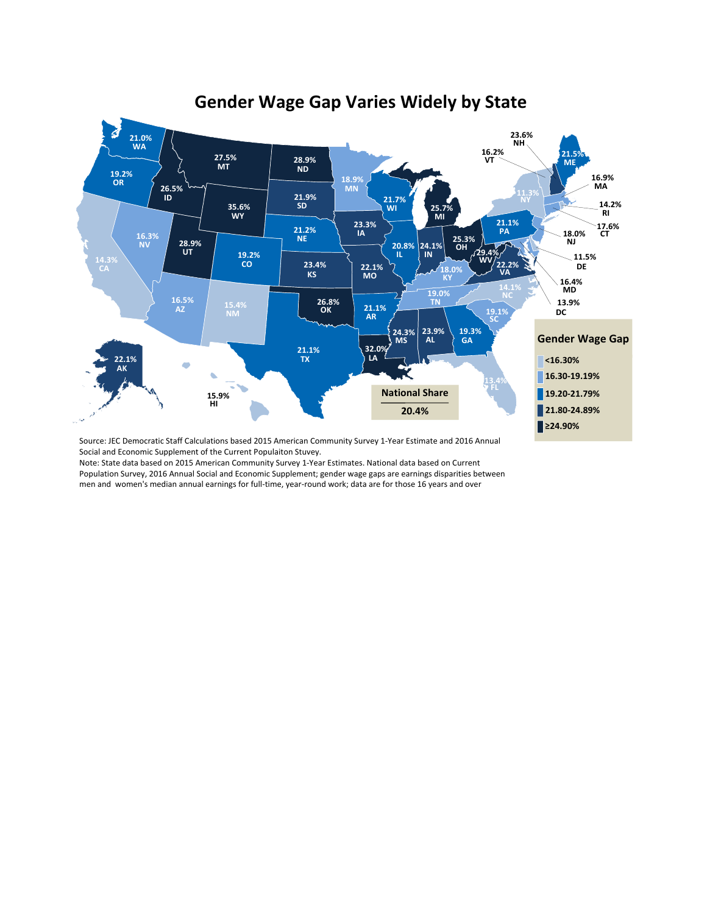

## **Gender Wage Gap Varies Widely by State**

Source: JEC Democratic Staff Calculations based 2015 American Community Survey 1-Year Estimate and 2016 Annual Social and Economic Supplement of the Current Populaiton Stuvey.

Note: State data based on 2015 American Community Survey 1-Year Estimates. National data based on Current<br>Population Survey, 2016 Annual Social and Economic Supplement; gender wage gaps are earnings disparities between<br>men